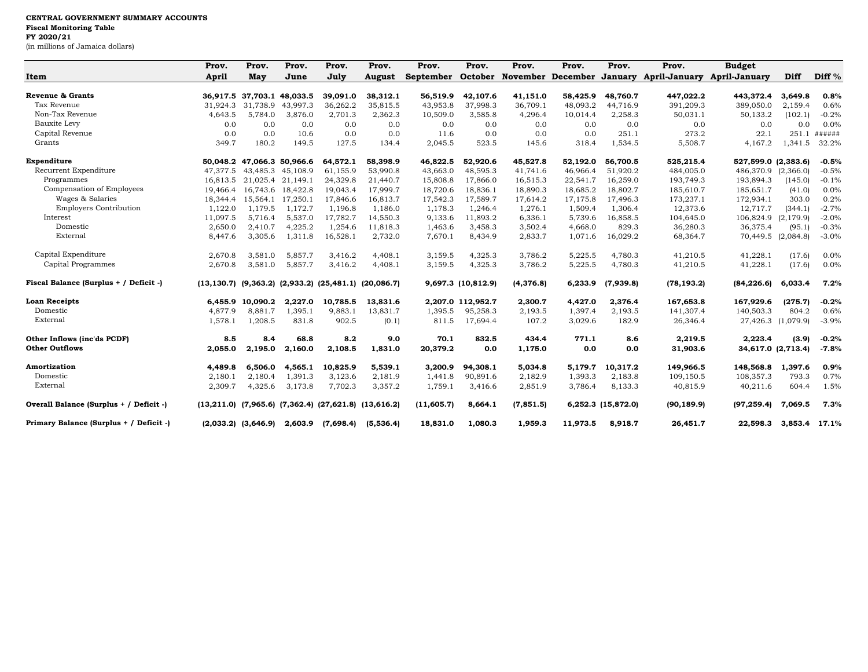## **CENTRAL GOVERNMENT SUMMARY ACCOUNTS Fiscal Monitoring Table FY 2020/21**

(in millions of Jamaica dollars)

|                                                      | Prov.    | Prov.                      | Prov.             | Prov.     | Prov.                                                               | Prov.       | Prov.              | Prov.                             | Prov.    | Prov.              | Prov.                | <b>Budget</b>        |                    |                   |
|------------------------------------------------------|----------|----------------------------|-------------------|-----------|---------------------------------------------------------------------|-------------|--------------------|-----------------------------------|----------|--------------------|----------------------|----------------------|--------------------|-------------------|
| Item                                                 | April    | May                        | June              | July      | <b>August</b>                                                       | September   |                    | October November December January |          |                    | <b>April-January</b> | <b>April-January</b> | Diff               | Diff <sup>%</sup> |
| Revenue & Grants                                     |          | 36,917.5 37,703.1 48,033.5 |                   | 39,091.0  | 38,312.1                                                            | 56,519.9    | 42,107.6           | 41,151.0                          | 58,425.9 | 48,760.7           | 447,022.2            | 443,372.4            | 3,649.8            | 0.8%              |
| Tax Revenue                                          | 31.924.3 | 31.738.9                   | 43,997.3          | 36,262.2  | 35,815.5                                                            | 43,953.8    | 37,998.3           | 36,709.1                          | 48,093.2 | 44.716.9           | 391,209.3            | 389,050.0            | 2,159.4            | 0.6%              |
| Non-Tax Revenue                                      | 4,643.5  | 5,784.0                    | 3,876.0           | 2,701.3   | 2,362.3                                                             | 10,509.0    | 3,585.8            | 4,296.4                           | 10,014.4 | 2,258.3            | 50,031.1             | 50,133.2             | (102.1)            | $-0.2%$           |
| <b>Bauxite Levy</b>                                  | 0.0      | 0.0                        | 0.0               | 0.0       | 0.0                                                                 | 0.0         | 0.0                | 0.0                               | 0.0      | 0.0                | 0.0                  | 0.0                  | 0.0                | 0.0%              |
| Capital Revenue                                      | 0.0      | 0.0                        | 10.6              | 0.0       | 0.0                                                                 | 11.6        | 0.0                | 0.0                               | 0.0      | 251.1              | 273.2                | 22.1                 | 251.1              | ######            |
| Grants                                               | 349.7    | 180.2                      | 149.5             | 127.5     | 134.4                                                               | 2,045.5     | 523.5              | 145.6                             | 318.4    | 1,534.5            | 5,508.7              | 4,167.2              | 1,341.5            | 32.2%             |
| Expenditure                                          |          | 50,048.2 47,066.3 50,966.6 |                   | 64,572.1  | 58,398.9                                                            | 46,822.5    | 52,920.6           | 45,527.8                          | 52,192.0 | 56,700.5           | 525,215.4            | 527,599.0 (2,383.6)  |                    | $-0.5%$           |
| Recurrent Expenditure                                | 47.377.5 |                            | 43.485.3 45.108.9 | 61,155.9  | 53,990.8                                                            | 43,663.0    | 48,595.3           | 41.741.6                          | 46,966.4 | 51,920.2           | 484,005.0            | 486,370.9 (2,366.0)  |                    | $-0.5%$           |
| Programmes                                           |          | 16,813.5 21,025.4 21,149.1 |                   | 24,329.8  | 21,440.7                                                            | 15,808.8    | 17,866.0           | 16,515.3                          | 22,541.7 | 16,259.0           | 193,749.3            | 193,894.3            | (145.0)            | $-0.1%$           |
| Compensation of Employees                            |          | 19,466.4 16,743.6 18,422.8 |                   | 19,043.4  | 17,999.7                                                            | 18,720.6    | 18,836.1           | 18,890.3                          | 18,685.2 | 18,802.7           | 185,610.7            | 185,651.7            | (41.0)             | 0.0%              |
| Wages & Salaries                                     | 18,344.4 | 15,564.1                   | 17,250.1          | 17,846.6  | 16,813.7                                                            | 17,542.3    | 17,589.7           | 17,614.2                          | 17,175.8 | 17,496.3           | 173,237.1            | 172,934.1            | 303.0              | 0.2%              |
| <b>Employers Contribution</b>                        | 1,122.0  | 1,179.5                    | 1,172.7           | 1,196.8   | 1,186.0                                                             | 1,178.3     | 1,246.4            | 1,276.1                           | 1,509.4  | 1,306.4            | 12,373.6             | 12,717.7             | (344.1)            | $-2.7%$           |
| Interest                                             | 11,097.5 | 5,716.4                    | 5,537.0           | 17,782.7  | 14,550.3                                                            | 9,133.6     | 11,893.2           | 6,336.1                           | 5,739.6  | 16,858.5           | 104,645.0            | 106,824.9            | (2, 179.9)         | $-2.0%$           |
| Domestic                                             | 2,650.0  | 2,410.7                    | 4,225.2           | 1,254.6   | 11,818.3                                                            | 1,463.6     | 3,458.3            | 3,502.4                           | 4,668.0  | 829.3              | 36,280.3             | 36,375.4             | (95.1)             | $-0.3%$           |
| External                                             | 8,447.6  | 3,305.6                    | 1,311.8           | 16,528.1  | 2,732.0                                                             | 7,670.1     | 8,434.9            | 2,833.7                           | 1,071.6  | 16,029.2           | 68,364.7             | 70,449.5             | (2,084.8)          | $-3.0%$           |
| Capital Expenditure                                  | 2.670.8  | 3,581.0                    | 5,857.7           | 3,416.2   | 4.408.1                                                             | 3,159.5     | 4,325.3            | 3,786.2                           | 5,225.5  | 4,780.3            | 41,210.5             | 41,228.1             | (17.6)             | 0.0%              |
| Capital Programmes                                   | 2,670.8  | 3,581.0                    | 5,857.7           | 3,416.2   | 4,408.1                                                             | 3,159.5     | 4,325.3            | 3,786.2                           | 5,225.5  | 4,780.3            | 41,210.5             | 41,228.1             | (17.6)             | 0.0%              |
| Fiscal Balance (Surplus + / Deficit -)               |          |                            |                   |           | $(13, 130.7)$ $(9, 363.2)$ $(2, 933.2)$ $(25, 481.1)$ $(20, 086.7)$ |             | 9,697.3 (10,812.9) | (4, 376.8)                        | 6,233.9  | (7,939.8)          | (78, 193.2)          | (84, 226.6)          | 6,033.4            | 7.2%              |
| <b>Loan Receipts</b>                                 |          | 6,455.9 10,090.2           | 2,227.0           | 10,785.5  | 13,831.6                                                            |             | 2,207.0 112,952.7  | 2,300.7                           | 4,427.0  | 2,376.4            | 167,653.8            | 167,929.6            | (275.7)            | $-0.2%$           |
| Domestic                                             | 4,877.9  | 8,881.7                    | 1,395.1           | 9,883.1   | 13,831.7                                                            | 1,395.5     | 95,258.3           | 2,193.5                           | 1,397.4  | 2,193.5            | 141,307.4            | 140,503.3            | 804.2              | 0.6%              |
| External                                             | 1,578.1  | 1,208.5                    | 831.8             | 902.5     | (0.1)                                                               | 811.5       | 17,694.4           | 107.2                             | 3,029.6  | 182.9              | 26,346.4             |                      | 27,426.3 (1,079.9) | $-3.9%$           |
| Other Inflows (inc'ds PCDF)<br><b>Other Outflows</b> | 8.5      | 8.4                        | 68.8              | 8.2       | 9.0                                                                 | 70.1        | 832.5              | 434.4                             | 771.1    | 8.6                | 2,219.5              | 2,223.4              | (3.9)              | $-0.2%$           |
|                                                      | 2,055.0  | 2,195.0                    | 2,160.0           | 2,108.5   | 1,831.0                                                             | 20,379.2    | 0.0                | 1,175.0                           | 0.0      | 0.0                | 31,903.6             |                      | 34,617.0 (2,713.4) | $-7.8%$           |
| Amortization                                         | 4.489.8  | 6.506.0                    | 4,565.1           | 10,825.9  | 5,539.1                                                             | 3.200.9     | 94,308.1           | 5,034.8                           | 5.179.7  | 10.317.2           | 149,966.5            | 148,568.8            | 1,397.6            | 0.9%              |
| Domestic                                             | 2,180.1  | 2,180.4                    | 1,391.3           | 3,123.6   | 2,181.9                                                             | 1,441.8     | 90,891.6           | 2,182.9                           | 1,393.3  | 2,183.8            | 109,150.5            | 108,357.3            | 793.3              | 0.7%              |
| External                                             | 2,309.7  | 4,325.6                    | 3,173.8           | 7,702.3   | 3,357.2                                                             | 1,759.1     | 3,416.6            | 2,851.9                           | 3,786.4  | 8,133.3            | 40,815.9             | 40,211.6             | 604.4              | 1.5%              |
| Overall Balance (Surplus + / Deficit -)              |          |                            |                   |           | $(13,211.0)$ $(7,965.6)$ $(7,362.4)$ $(27,621.8)$ $(13,616.2)$      | (11, 605.7) | 8,664.1            | (7, 851.5)                        |          | 6,252.3 (15,872.0) | (90, 189.9)          | (97, 259.4)          | 7,069.5            | 7.3%              |
| Primary Balance (Surplus + / Deficit -)              |          | $(2,033.2)$ $(3,646.9)$    | 2,603.9           | (7,698.4) | (5,536.4)                                                           | 18,831.0    | 1,080.3            | 1,959.3                           | 11,973.5 | 8,918.7            | 26,451.7             | 22,598.3             | 3,853.4            | $17.1\%$          |